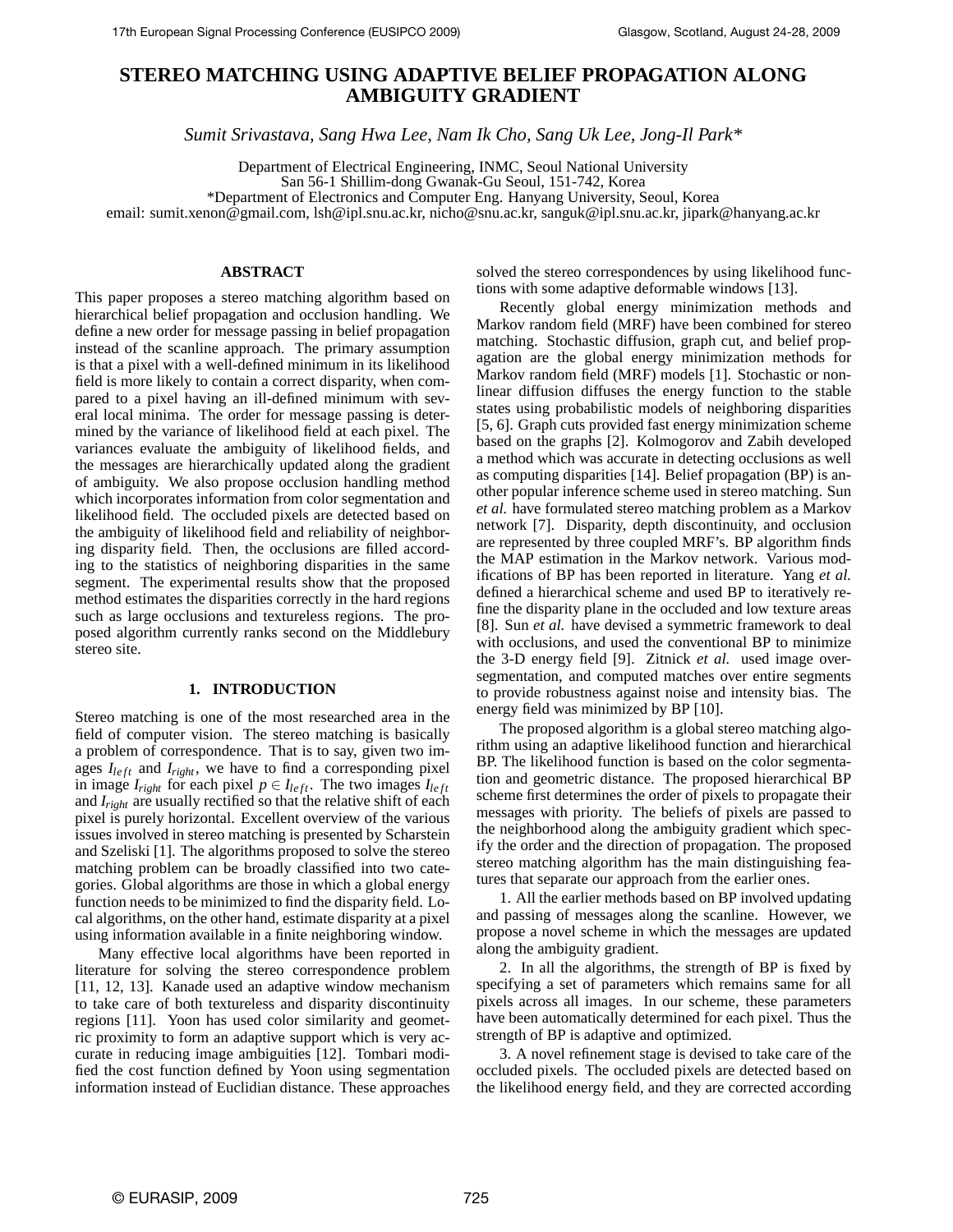# **STEREO MATCHING USING ADAPTIVE BELIEF PROPAGATION ALONG AMBIGUITY GRADIENT**

*Sumit Srivastava, Sang Hwa Lee, Nam Ik Cho, Sang Uk Lee, Jong-Il Park\**

Department of Electrical Engineering, INMC, Seoul National University San 56-1 Shillim-dong Gwanak-Gu Seoul, 151-742, Korea \*Department of Electronics and Computer Eng. Hanyang University, Seoul, Korea

email: sumit.xenon@gmail.com, lsh@ipl.snu.ac.kr, nicho@snu.ac.kr, sanguk@ipl.snu.ac.kr, jipark@hanyang.ac.kr

# **ABSTRACT**

This paper proposes a stereo matching algorithm based on hierarchical belief propagation and occlusion handling. We define a new order for message passing in belief propagation instead of the scanline approach. The primary assumption is that a pixel with a well-defined minimum in its likelihood field is more likely to contain a correct disparity, when compared to a pixel having an ill-defined minimum with several local minima. The order for message passing is determined by the variance of likelihood field at each pixel. The variances evaluate the ambiguity of likelihood fields, and the messages are hierarchically updated along the gradient of ambiguity. We also propose occlusion handling method which incorporates information from color segmentation and likelihood field. The occluded pixels are detected based on the ambiguity of likelihood field and reliability of neighboring disparity field. Then, the occlusions are filled according to the statistics of neighboring disparities in the same segment. The experimental results show that the proposed method estimates the disparities correctly in the hard regions such as large occlusions and textureless regions. The proposed algorithm currently ranks second on the Middlebury stereo site.

# **1. INTRODUCTION**

Stereo matching is one of the most researched area in the field of computer vision. The stereo matching is basically a problem of correspondence. That is to say, given two images *Ileft* and *Iright*, we have to find a corresponding pixel in image  $I_{right}$  for each pixel  $p \in I_{left}$ . The two images  $I_{left}$ and *Iright* are usually rectified so that the relative shift of each pixel is purely horizontal. Excellent overview of the various issues involved in stereo matching is presented by Scharstein and Szeliski [1]. The algorithms proposed to solve the stereo matching problem can be broadly classified into two categories. Global algorithms are those in which a global energy function needs to be minimized to find the disparity field. Local algorithms, on the other hand, estimate disparity at a pixel using information available in a finite neighboring window.

Many effective local algorithms have been reported in literature for solving the stereo correspondence problem [11, 12, 13]. Kanade used an adaptive window mechanism to take care of both textureless and disparity discontinuity regions [11]. Yoon has used color similarity and geometric proximity to form an adaptive support which is very accurate in reducing image ambiguities [12]. Tombari modified the cost function defined by Yoon using segmentation information instead of Euclidian distance. These approaches solved the stereo correspondences by using likelihood functions with some adaptive deformable windows [13].

Recently global energy minimization methods and Markov random field (MRF) have been combined for stereo matching. Stochastic diffusion, graph cut, and belief propagation are the global energy minimization methods for Markov random field (MRF) models [1]. Stochastic or nonlinear diffusion diffuses the energy function to the stable states using probabilistic models of neighboring disparities [5, 6]. Graph cuts provided fast energy minimization scheme based on the graphs [2]. Kolmogorov and Zabih developed a method which was accurate in detecting occlusions as well as computing disparities [14]. Belief propagation (BP) is another popular inference scheme used in stereo matching. Sun *et al.* have formulated stereo matching problem as a Markov network [7]. Disparity, depth discontinuity, and occlusion are represented by three coupled MRF's. BP algorithm finds the MAP estimation in the Markov network. Various modifications of BP has been reported in literature. Yang *et al.* defined a hierarchical scheme and used BP to iteratively refine the disparity plane in the occluded and low texture areas [8]. Sun *et al.* have devised a symmetric framework to deal with occlusions, and used the conventional BP to minimize the 3-D energy field [9]. Zitnick *et al.* used image oversegmentation, and computed matches over entire segments to provide robustness against noise and intensity bias. The energy field was minimized by BP [10].

The proposed algorithm is a global stereo matching algorithm using an adaptive likelihood function and hierarchical BP. The likelihood function is based on the color segmentation and geometric distance. The proposed hierarchical BP scheme first determines the order of pixels to propagate their messages with priority. The beliefs of pixels are passed to the neighborhood along the ambiguity gradient which specify the order and the direction of propagation. The proposed stereo matching algorithm has the main distinguishing features that separate our approach from the earlier ones.

1. All the earlier methods based on BP involved updating and passing of messages along the scanline. However, we propose a novel scheme in which the messages are updated along the ambiguity gradient.

2. In all the algorithms, the strength of BP is fixed by specifying a set of parameters which remains same for all pixels across all images. In our scheme, these parameters have been automatically determined for each pixel. Thus the strength of BP is adaptive and optimized.

3. A novel refinement stage is devised to take care of the occluded pixels. The occluded pixels are detected based on the likelihood energy field, and they are corrected according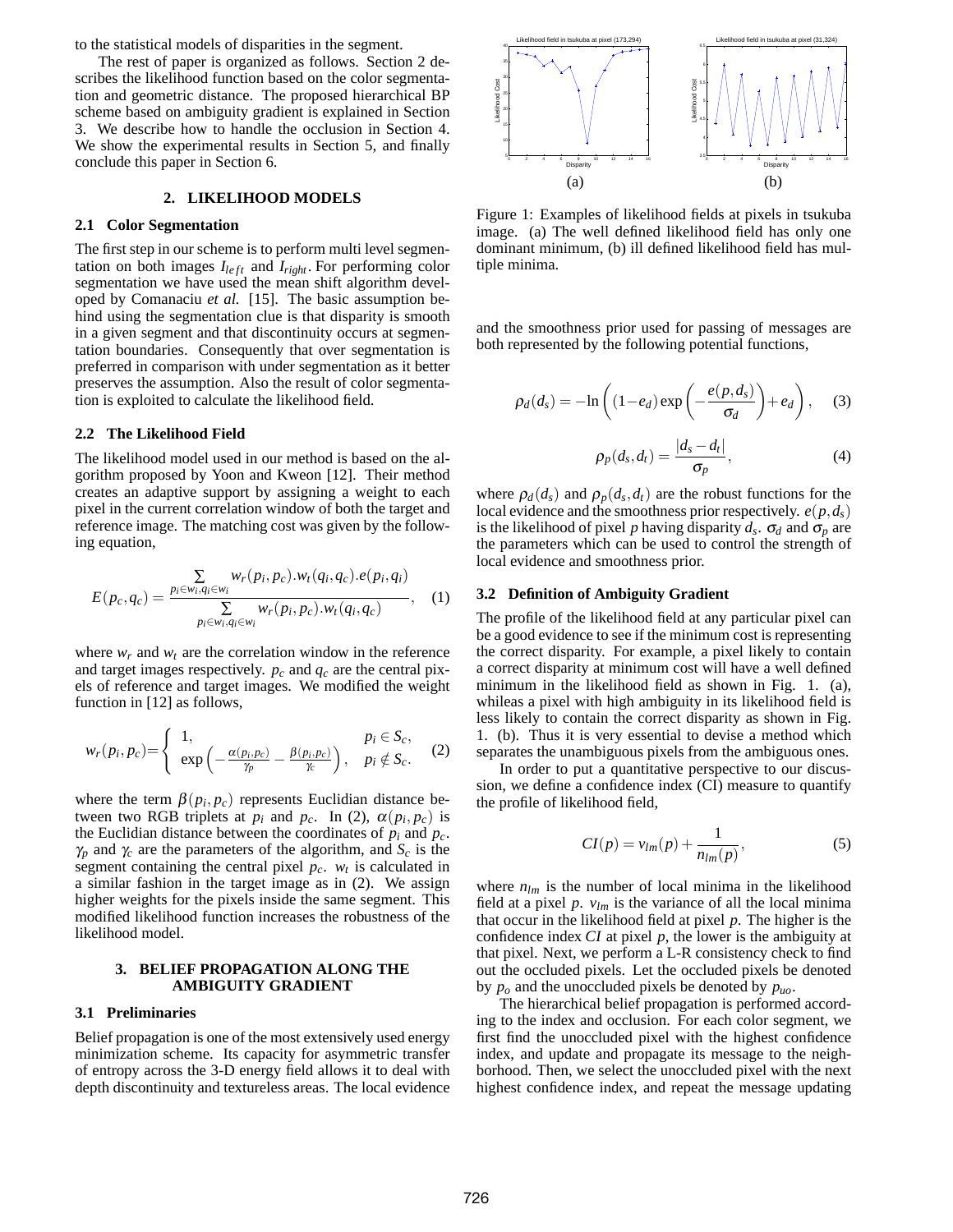to the statistical models of disparities in the segment.

The rest of paper is organized as follows. Section 2 describes the likelihood function based on the color segmentation and geometric distance. The proposed hierarchical BP scheme based on ambiguity gradient is explained in Section 3. We describe how to handle the occlusion in Section 4. We show the experimental results in Section 5, and finally conclude this paper in Section 6.

# **2. LIKELIHOOD MODELS**

#### **2.1 Color Segmentation**

The first step in our scheme is to perform multi level segmentation on both images  $I_{left}$  and  $I_{right}$ . For performing color segmentation we have used the mean shift algorithm developed by Comanaciu *et al.* [15]. The basic assumption behind using the segmentation clue is that disparity is smooth in a given segment and that discontinuity occurs at segmentation boundaries. Consequently that over segmentation is preferred in comparison with under segmentation as it better preserves the assumption. Also the result of color segmentation is exploited to calculate the likelihood field.

# **2.2 The Likelihood Field**

The likelihood model used in our method is based on the algorithm proposed by Yoon and Kweon [12]. Their method creates an adaptive support by assigning a weight to each pixel in the current correlation window of both the target and reference image. The matching cost was given by the following equation,

$$
E(p_c, q_c) = \frac{\sum\limits_{p_i \in w_i, q_i \in w_i} w_r(p_i, p_c) . w_t(q_i, q_c) . e(p_i, q_i)}{\sum\limits_{p_i \in w_i, q_i \in w_i} w_r(p_i, p_c) . w_t(q_i, q_c)}, \quad (1)
$$

where  $w_r$  and  $w_t$  are the correlation window in the reference and target images respectively.  $p_c$  and  $q_c$  are the central pixels of reference and target images. We modified the weight function in [12] as follows,

$$
w_r(p_i, p_c) = \begin{cases} 1, & p_i \in S_c, \\ exp\left(-\frac{\alpha(p_i, p_c)}{\gamma_p} - \frac{\beta(p_i, p_c)}{\gamma_c}\right), & p_i \notin S_c. \end{cases}
$$
 (2)

where the term  $\beta(p_i, p_c)$  represents Euclidian distance between two RGB triplets at  $p_i$  and  $p_c$ . In (2),  $\alpha(p_i, p_c)$  is the Euclidian distance between the coordinates of  $p_i$  and  $p_c$ .  $\gamma_p$  and  $\gamma_c$  are the parameters of the algorithm, and  $S_c$  is the segment containing the central pixel  $p_c$ .  $w_t$  is calculated in a similar fashion in the target image as in (2). We assign higher weights for the pixels inside the same segment. This modified likelihood function increases the robustness of the likelihood model.

# **3. BELIEF PROPAGATION ALONG THE AMBIGUITY GRADIENT**

#### **3.1 Preliminaries**

Belief propagation is one of the most extensively used energy minimization scheme. Its capacity for asymmetric transfer of entropy across the 3-D energy field allows it to deal with depth discontinuity and textureless areas. The local evidence



Figure 1: Examples of likelihood fields at pixels in tsukuba image. (a) The well defined likelihood field has only one dominant minimum, (b) ill defined likelihood field has multiple minima.

and the smoothness prior used for passing of messages are both represented by the following potential functions,

$$
\rho_d(d_s) = -\ln\left((1 - e_d)\exp\left(-\frac{e(p, d_s)}{\sigma_d}\right) + e_d\right), \quad (3)
$$

$$
\rho_p(d_s, d_t) = \frac{|d_s - d_t|}{\sigma_p},\tag{4}
$$

where  $\rho_d(d_s)$  and  $\rho_p(d_s, d_t)$  are the robust functions for the local evidence and the smoothness prior respectively.  $e(p, d_s)$ is the likelihood of pixel *p* having disparity  $d_s$ .  $\sigma_d$  and  $\sigma_p$  are the parameters which can be used to control the strength of local evidence and smoothness prior.

#### **3.2 Definition of Ambiguity Gradient**

The profile of the likelihood field at any particular pixel can be a good evidence to see if the minimum cost is representing the correct disparity. For example, a pixel likely to contain a correct disparity at minimum cost will have a well defined minimum in the likelihood field as shown in Fig. 1. (a), whileas a pixel with high ambiguity in its likelihood field is less likely to contain the correct disparity as shown in Fig. 1. (b). Thus it is very essential to devise a method which separates the unambiguous pixels from the ambiguous ones.

In order to put a quantitative perspective to our discussion, we define a confidence index (CI) measure to quantify the profile of likelihood field,

$$
CI(p) = v_{lm}(p) + \frac{1}{n_{lm}(p)},
$$
\n(5)

where  $n_{lm}$  is the number of local minima in the likelihood field at a pixel  $p. v_{lm}$  is the variance of all the local minima that occur in the likelihood field at pixel *p*. The higher is the confidence index *CI* at pixel *p*, the lower is the ambiguity at that pixel. Next, we perform a L-R consistency check to find out the occluded pixels. Let the occluded pixels be denoted by *po* and the unoccluded pixels be denoted by *puo*.

The hierarchical belief propagation is performed according to the index and occlusion. For each color segment, we first find the unoccluded pixel with the highest confidence index, and update and propagate its message to the neighborhood. Then, we select the unoccluded pixel with the next highest confidence index, and repeat the message updating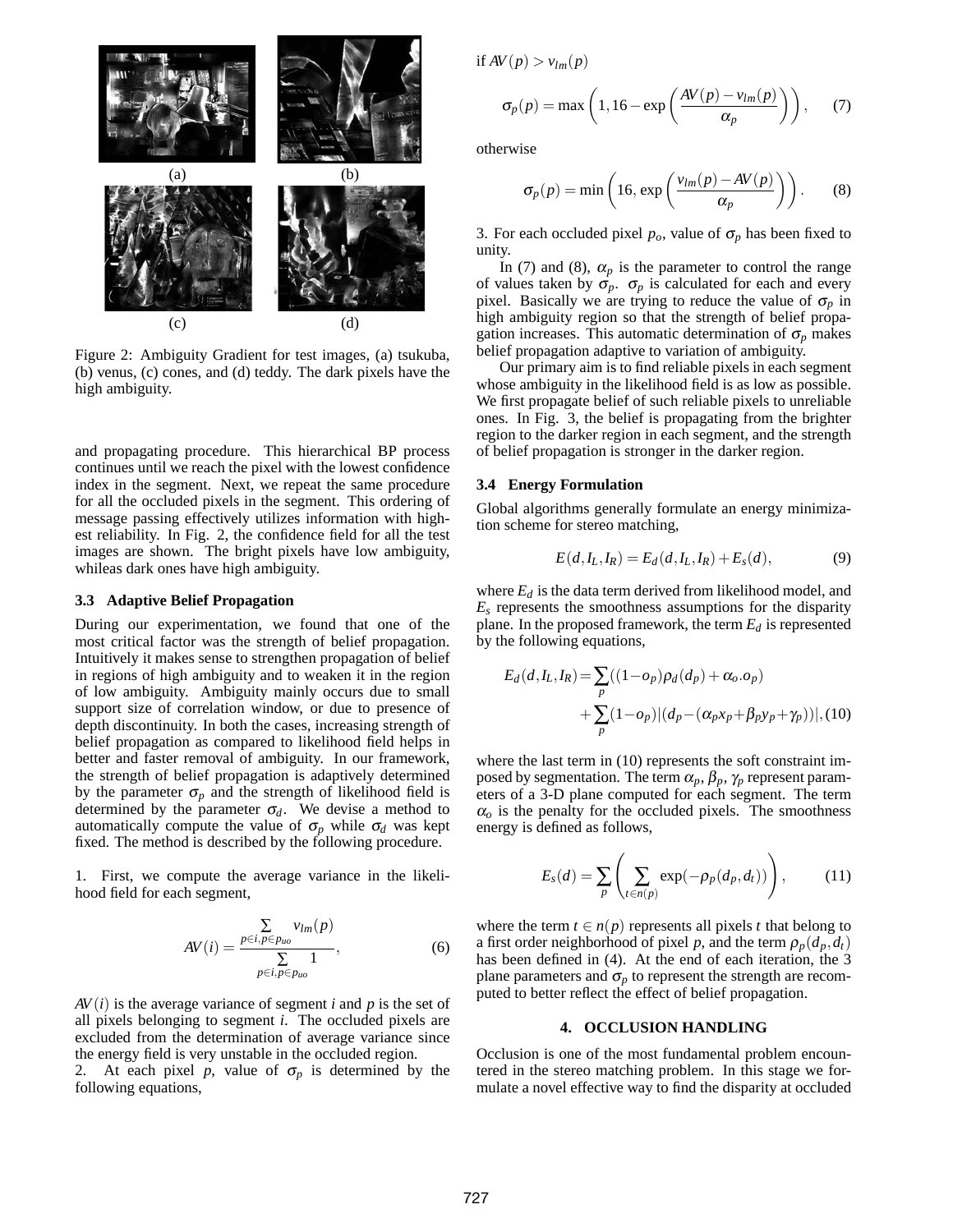

Figure 2: Ambiguity Gradient for test images, (a) tsukuba, (b) venus, (c) cones, and (d) teddy. The dark pixels have the high ambiguity.

and propagating procedure. This hierarchical BP process continues until we reach the pixel with the lowest confidence index in the segment. Next, we repeat the same procedure for all the occluded pixels in the segment. This ordering of message passing effectively utilizes information with highest reliability. In Fig. 2, the confidence field for all the test images are shown. The bright pixels have low ambiguity, whileas dark ones have high ambiguity.

#### **3.3 Adaptive Belief Propagation**

During our experimentation, we found that one of the most critical factor was the strength of belief propagation. Intuitively it makes sense to strengthen propagation of belief in regions of high ambiguity and to weaken it in the region of low ambiguity. Ambiguity mainly occurs due to small support size of correlation window, or due to presence of depth discontinuity. In both the cases, increasing strength of belief propagation as compared to likelihood field helps in better and faster removal of ambiguity. In our framework, the strength of belief propagation is adaptively determined by the parameter  $\sigma_p$  and the strength of likelihood field is determined by the parameter  $\sigma_d$ . We devise a method to automatically compute the value of  $\sigma_p$  while  $\sigma_d$  was kept fixed. The method is described by the following procedure.

1. First, we compute the average variance in the likelihood field for each segment,

$$
AV(i) = \frac{\sum\limits_{p \in i, p \in p_{uo}} v_{lm}(p)}{\sum\limits_{p \in i, p \in p_{uo}} 1},
$$
\n(6)

 $AV(i)$  is the average variance of segment *i* and *p* is the set of all pixels belonging to segment *i*. The occluded pixels are excluded from the determination of average variance since the energy field is very unstable in the occluded region.

2. At each pixel *p*, value of  $\sigma_p$  is determined by the following equations,

if  $AV(p) > v_{lm}(p)$ 

$$
\sigma_p(p) = \max\left(1, 16 - \exp\left(\frac{AV(p) - v_{lm}(p)}{\alpha_p}\right)\right), \quad (7)
$$

otherwise

$$
\sigma_p(p) = \min\left(16, \exp\left(\frac{v_{lm}(p) - AV(p)}{\alpha_p}\right)\right). \tag{8}
$$

3. For each occluded pixel  $p_o$ , value of  $\sigma_p$  has been fixed to unity.

In (7) and (8),  $\alpha_p$  is the parameter to control the range of values taken by  $\sigma_p$ .  $\sigma_p$  is calculated for each and every pixel. Basically we are trying to reduce the value of  $\sigma_p$  in high ambiguity region so that the strength of belief propagation increases. This automatic determination of  $\sigma_p$  makes belief propagation adaptive to variation of ambiguity.

Our primary aim is to find reliable pixels in each segment whose ambiguity in the likelihood field is as low as possible. We first propagate belief of such reliable pixels to unreliable ones. In Fig. 3, the belief is propagating from the brighter region to the darker region in each segment, and the strength of belief propagation is stronger in the darker region.

### **3.4 Energy Formulation**

Global algorithms generally formulate an energy minimization scheme for stereo matching,

$$
E(d, I_L, I_R) = E_d(d, I_L, I_R) + E_s(d),
$$
\n(9)

where  $E_d$  is the data term derived from likelihood model, and *Es* represents the smoothness assumptions for the disparity plane. In the proposed framework, the term  $E_d$  is represented by the following equations,

$$
E_d(d, I_L, I_R) = \sum_p ((1 - o_p) \rho_d(d_p) + \alpha_o \cdot o_p)
$$
  
+ 
$$
\sum_p (1 - o_p) |(d_p - (\alpha_p x_p + \beta_p y_p + \gamma_p))|, (10)
$$

where the last term in (10) represents the soft constraint imposed by segmentation. The term  $\alpha_p$ ,  $\beta_p$ ,  $\gamma_p$  represent parameters of a 3-D plane computed for each segment. The term  $\alpha$ <sup>o</sup> is the penalty for the occluded pixels. The smoothness energy is defined as follows,

$$
E_s(d) = \sum_p \left( \sum_{t \in n(p)} \exp(-\rho_p(d_p, d_t)) \right), \tag{11}
$$

where the term  $t \in n(p)$  represents all pixels *t* that belong to a first order neighborhood of pixel *p*, and the term  $\rho_p(d_p, d_t)$ has been defined in (4). At the end of each iteration, the 3 plane parameters and  $\sigma_p$  to represent the strength are recomputed to better reflect the effect of belief propagation.

# **4. OCCLUSION HANDLING**

Occlusion is one of the most fundamental problem encountered in the stereo matching problem. In this stage we formulate a novel effective way to find the disparity at occluded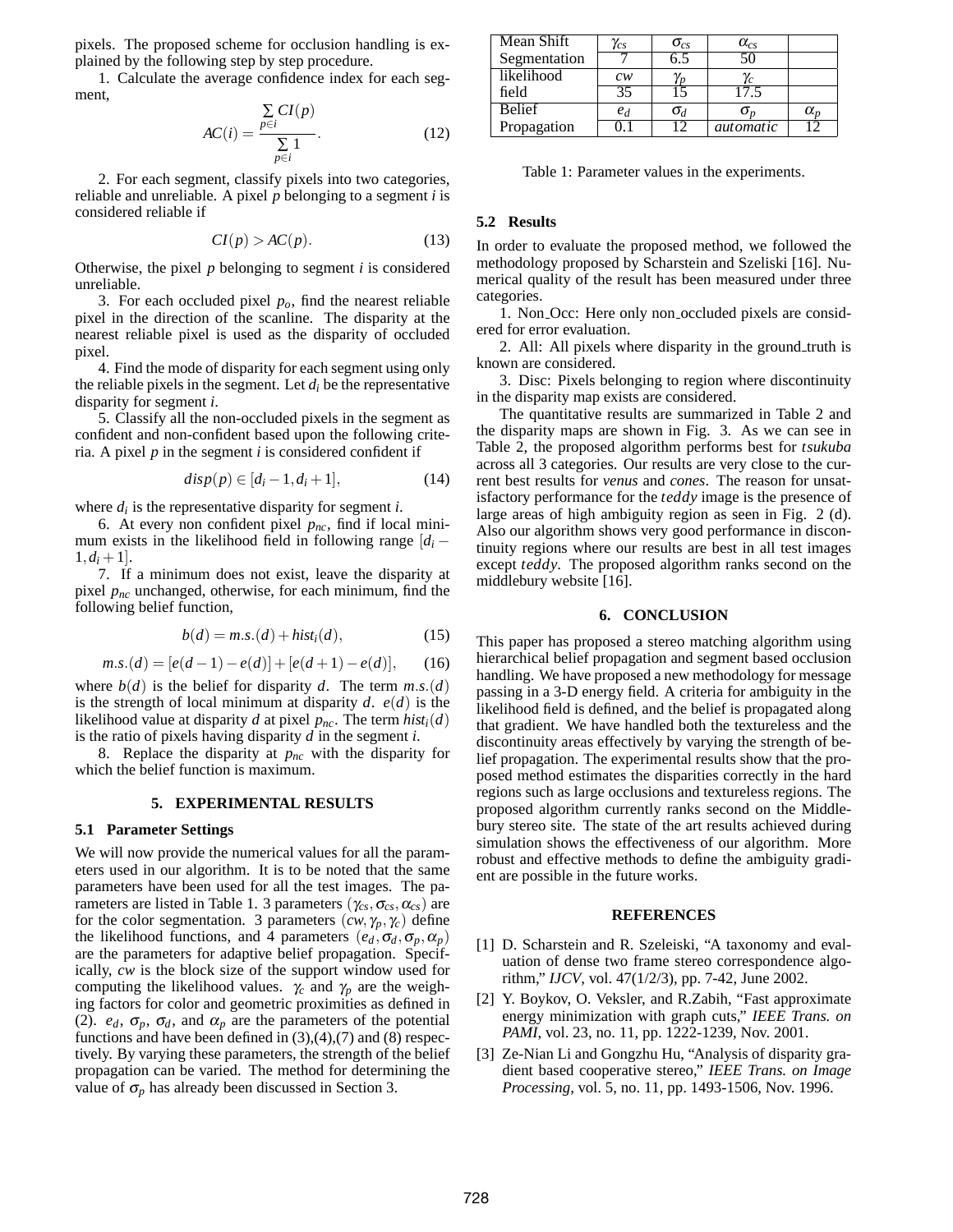pixels. The proposed scheme for occlusion handling is explained by the following step by step procedure.

1. Calculate the average confidence index for each segment,

$$
AC(i) = \frac{\sum_{p \in i} CI(p)}{\sum_{p \in i} 1}.
$$
 (12)

2. For each segment, classify pixels into two categories, reliable and unreliable. A pixel *p* belonging to a segment *i* is considered reliable if

$$
CI(p) > AC(p). \tag{13}
$$

Otherwise, the pixel *p* belonging to segment *i* is considered unreliable.

3. For each occluded pixel *po*, find the nearest reliable pixel in the direction of the scanline. The disparity at the nearest reliable pixel is used as the disparity of occluded pixel.

4. Find the mode of disparity for each segment using only the reliable pixels in the segment. Let  $d_i$  be the representative disparity for segment *i*.

5. Classify all the non-occluded pixels in the segment as confident and non-confident based upon the following criteria. A pixel *p* in the segment *i* is considered confident if

$$
disp(p) \in [d_i-1, d_i+1], \tag{14}
$$

where  $d_i$  is the representative disparity for segment *i*.

6. At every non confident pixel  $p_{nc}$ , find if local minimum exists in the likelihood field in following range  $d_i$  −  $1, d_i + 1$ .

7. If a minimum does not exist, leave the disparity at pixel *pnc* unchanged, otherwise, for each minimum, find the following belief function,

$$
b(d) = m.s.(d) + histi(d),
$$
\n(15)

$$
m.s.(d) = [e(d-1) - e(d)] + [e(d+1) - e(d)], \quad (16)
$$

where  $b(d)$  is the belief for disparity *d*. The term  $m.s.(d)$ is the strength of local minimum at disparity *d*. *e*(*d*) is the likelihood value at disparity *d* at pixel  $p_{nc}$ . The term  $hist<sub>i</sub>(d)$ is the ratio of pixels having disparity *d* in the segment *i*.

8. Replace the disparity at *pnc* with the disparity for which the belief function is maximum.

### **5. EXPERIMENTAL RESULTS**

### **5.1 Parameter Settings**

We will now provide the numerical values for all the parameters used in our algorithm. It is to be noted that the same parameters have been used for all the test images. The parameters are listed in Table 1. 3 parameters ( $\gamma_{cs}, \sigma_{cs}, \alpha_{cs}$ ) are for the color segmentation. 3 parameters  $(cw, \gamma_p, \gamma_c)$  define the likelihood functions, and 4 parameters  $(e_d, \sigma_d, \sigma_p, \alpha_p)$ are the parameters for adaptive belief propagation. Specifically, *cw* is the block size of the support window used for computing the likelihood values.  $\gamma_c$  and  $\gamma_p$  are the weighing factors for color and geometric proximities as defined in (2).  $e_d$ ,  $\sigma_p$ ,  $\sigma_d$ , and  $\alpha_p$  are the parameters of the potential functions and have been defined in  $(3),(4),(7)$  and  $(8)$  respectively. By varying these parameters, the strength of the belief propagation can be varied. The method for determining the value of  $\sigma_p$  has already been discussed in Section 3.

| Mean Shift    | $\gamma_{cs}$ | $\sigma_{cs}$    | $\alpha_{cs}$    |              |
|---------------|---------------|------------------|------------------|--------------|
| Segmentation  |               | $\overline{6.5}$ | 50               |              |
| likelihood    | cw            | ľD               | $\gamma_c$       |              |
| field         | 35            | ١S               | 17.5             |              |
| <b>Belief</b> | $e_d$         | $\sigma_d$       | σ,               | $\alpha_{n}$ |
| Propagation   | 71 L.         | 12               | <i>automatic</i> |              |

Table 1: Parameter values in the experiments.

### **5.2 Results**

In order to evaluate the proposed method, we followed the methodology proposed by Scharstein and Szeliski [16]. Numerical quality of the result has been measured under three categories.

1. Non Occ: Here only non occluded pixels are considered for error evaluation.

2. All: All pixels where disparity in the ground truth is known are considered.

3. Disc: Pixels belonging to region where discontinuity in the disparity map exists are considered.

The quantitative results are summarized in Table 2 and the disparity maps are shown in Fig. 3. As we can see in Table 2, the proposed algorithm performs best for *tsukuba* across all 3 categories. Our results are very close to the current best results for *venus* and *cones*. The reason for unsatisfactory performance for the *teddy* image is the presence of large areas of high ambiguity region as seen in Fig. 2 (d). Also our algorithm shows very good performance in discontinuity regions where our results are best in all test images except *teddy*. The proposed algorithm ranks second on the middlebury website [16].

### **6. CONCLUSION**

This paper has proposed a stereo matching algorithm using hierarchical belief propagation and segment based occlusion handling. We have proposed a new methodology for message passing in a 3-D energy field. A criteria for ambiguity in the likelihood field is defined, and the belief is propagated along that gradient. We have handled both the textureless and the discontinuity areas effectively by varying the strength of belief propagation. The experimental results show that the proposed method estimates the disparities correctly in the hard regions such as large occlusions and textureless regions. The proposed algorithm currently ranks second on the Middlebury stereo site. The state of the art results achieved during simulation shows the effectiveness of our algorithm. More robust and effective methods to define the ambiguity gradient are possible in the future works.

### **REFERENCES**

- [1] D. Scharstein and R. Szeleiski, "A taxonomy and evaluation of dense two frame stereo correspondence algorithm," *IJCV*, vol. 47(1/2/3), pp. 7-42, June 2002.
- [2] Y. Boykov, O. Veksler, and R.Zabih, "Fast approximate energy minimization with graph cuts," *IEEE Trans. on PAMI*, vol. 23, no. 11, pp. 1222-1239, Nov. 2001.
- [3] Ze-Nian Li and Gongzhu Hu, "Analysis of disparity gradient based cooperative stereo," *IEEE Trans. on Image Processing*, vol. 5, no. 11, pp. 1493-1506, Nov. 1996.